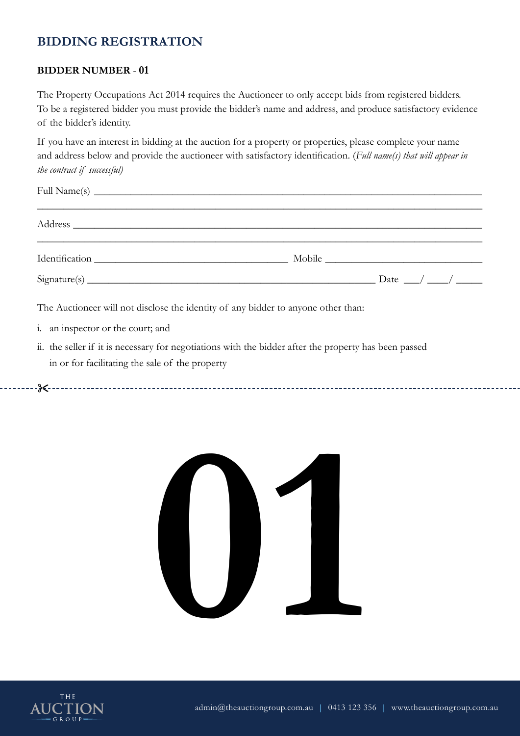### **BIDDER NUMBER** - **01**

The Property Occupations Act 2014 requires the Auctioneer to only accept bids from registered bidders. To be a registered bidder you must provide the bidder's name and address, and produce satisfactory evidence of the bidder's identity.

If you have an interest in bidding at the auction for a property or properties, please complete your name and address below and provide the auctioneer with satisfactory identification. (*Full name(s) that will appear in the contract if successful)*

| $Sigma(s)$ $Dataure(s)$ $Data__$                                                  |  |  |
|-----------------------------------------------------------------------------------|--|--|
| The Auctioneer will not disclose the identity of any bidder to anyone other than: |  |  |

i. an inspector or the court; and

&



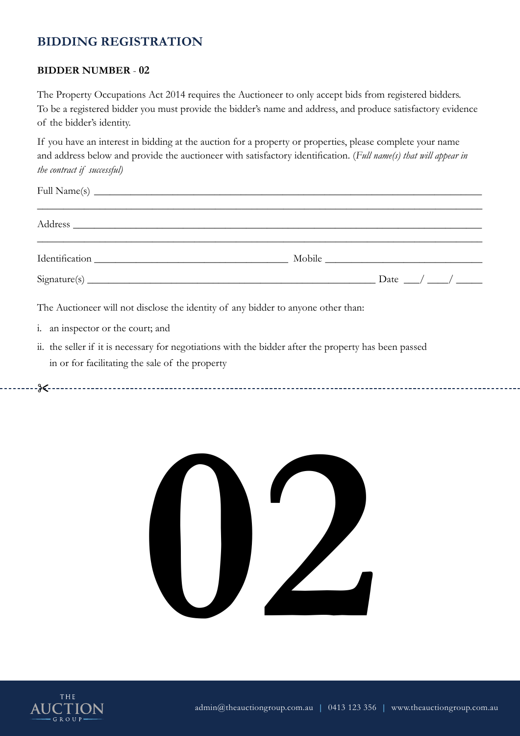### **BIDDER NUMBER** - **02**

The Property Occupations Act 2014 requires the Auctioneer to only accept bids from registered bidders. To be a registered bidder you must provide the bidder's name and address, and produce satisfactory evidence of the bidder's identity.

If you have an interest in bidding at the auction for a property or properties, please complete your name and address below and provide the auctioneer with satisfactory identification. (*Full name(s) that will appear in the contract if successful)*

| $Sigma(s)$ $Dataure(s)$ $Data__/$ $\_/$ $\_/$                                     |  |  |
|-----------------------------------------------------------------------------------|--|--|
| The Auctioneer will not disclose the identity of any bidder to anyone other than: |  |  |
| i. an inspector or the court; and                                                 |  |  |

ii. the seller if it is necessary for negotiations with the bidder after the property has been passed in or for facilitating the sale of the property



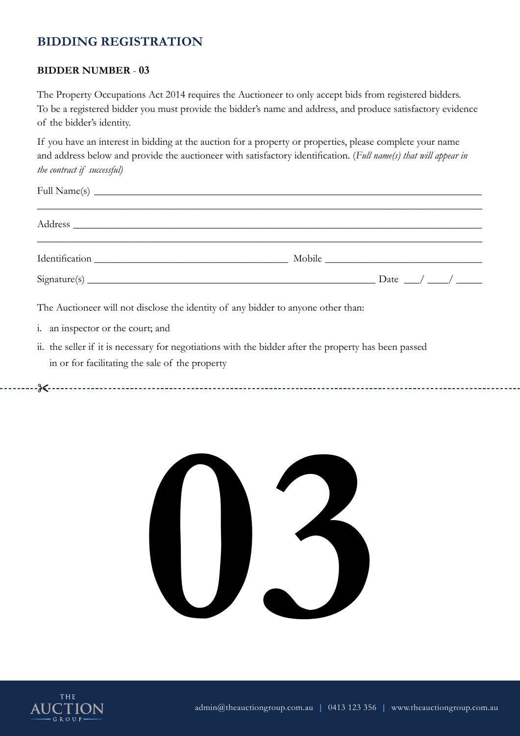### **BIDDER NUMBER** - **03**

The Property Occupations Act 2014 requires the Auctioneer to only accept bids from registered bidders. To be a registered bidder you must provide the bidder's name and address, and produce satisfactory evidence of the bidder's identity.

If you have an interest in bidding at the auction for a property or properties, please complete your name and address below and provide the auctioneer with satisfactory identification. (*Full name(s) that will appear in the contract if successful)*

| $Sigma(s)$ $Dataure(s)$ $Data__/$ $A__/$                                                                                                                                                                                                                                                                               |  |  |  |
|------------------------------------------------------------------------------------------------------------------------------------------------------------------------------------------------------------------------------------------------------------------------------------------------------------------------|--|--|--|
| The Auctioneer will not disclose the identity of any bidder to anyone other than:<br>$\mathbf{r}$ , and the contract of the contract of the contract of the contract of the contract of the contract of the contract of the contract of the contract of the contract of the contract of the contract of the contract o |  |  |  |

i. an inspector or the court; and

&



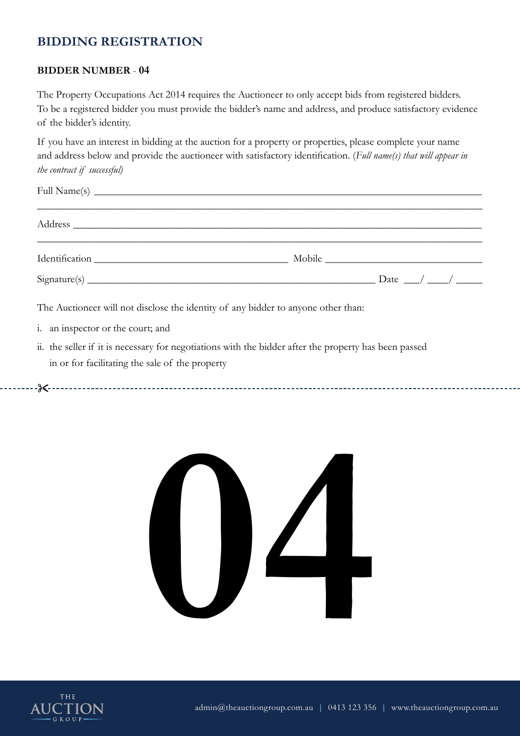### **BIDDER NUMBER** - **04**

The Property Occupations Act 2014 requires the Auctioneer to only accept bids from registered bidders. To be a registered bidder you must provide the bidder's name and address, and produce satisfactory evidence of the bidder's identity.

If you have an interest in bidding at the auction for a property or properties, please complete your name and address below and provide the auctioneer with satisfactory identification. (*Full name(s) that will appear in the contract if successful)*

| $Sigma(s)$ $Dataure(s)$ $Data__$                                                  |  |  |
|-----------------------------------------------------------------------------------|--|--|
| The Auctioneer will not disclose the identity of any bidder to anyone other than: |  |  |

- i. an inspector or the court; and
- ii. the seller if it is necessary for negotiations with the bidder after the property has been passed in or for facilitating the sale of the property



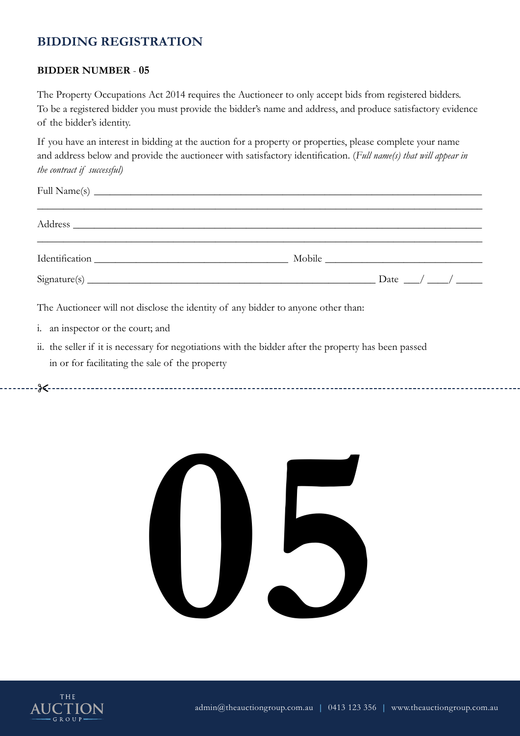### **BIDDER NUMBER** - **05**

The Property Occupations Act 2014 requires the Auctioneer to only accept bids from registered bidders. To be a registered bidder you must provide the bidder's name and address, and produce satisfactory evidence of the bidder's identity.

If you have an interest in bidding at the auction for a property or properties, please complete your name and address below and provide the auctioneer with satisfactory identification. (*Full name(s) that will appear in the contract if successful)*

| $Sigma(s)$ $Dataure(s)$ $Data__$                                                  |  |  |
|-----------------------------------------------------------------------------------|--|--|
| The Auctioneer will not disclose the identity of any bidder to anyone other than: |  |  |

- i. an inspector or the court; and
- ii. the seller if it is necessary for negotiations with the bidder after the property has been passed in or for facilitating the sale of the property



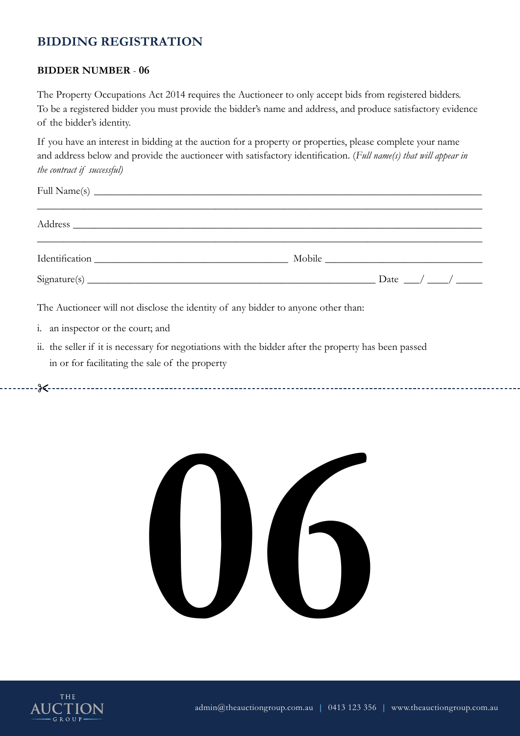### **BIDDER NUMBER** - **06**

The Property Occupations Act 2014 requires the Auctioneer to only accept bids from registered bidders. To be a registered bidder you must provide the bidder's name and address, and produce satisfactory evidence of the bidder's identity.

If you have an interest in bidding at the auction for a property or properties, please complete your name and address below and provide the auctioneer with satisfactory identification. (*Full name(s) that will appear in the contract if successful)*

| $Sigma(s)$ $Dataure(s)$ $Data__/$ $A__/$                                                                                                                                                                                                                                                                               |  |  |  |
|------------------------------------------------------------------------------------------------------------------------------------------------------------------------------------------------------------------------------------------------------------------------------------------------------------------------|--|--|--|
| The Auctioneer will not disclose the identity of any bidder to anyone other than:<br>$\mathbf{r}$ , and the contract of the contract of the contract of the contract of the contract of the contract of the contract of the contract of the contract of the contract of the contract of the contract of the contract o |  |  |  |

- i. an inspector or the court; and
- ii. the seller if it is necessary for negotiations with the bidder after the property has been passed in or for facilitating the sale of the property



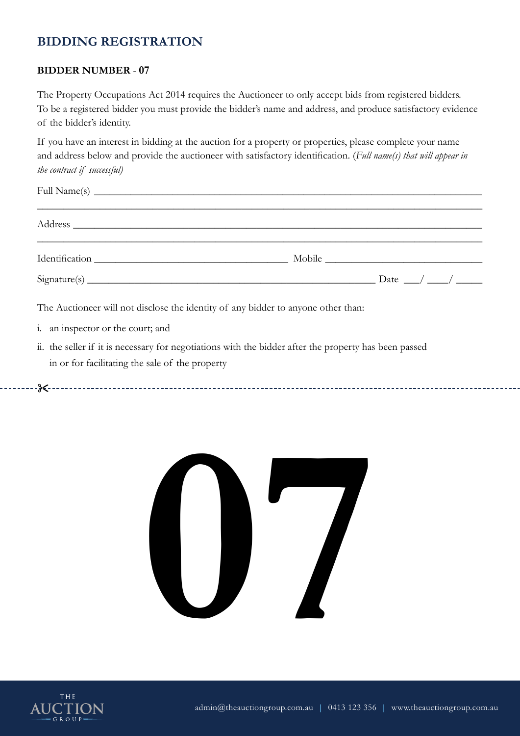### **BIDDER NUMBER** - **07**

The Property Occupations Act 2014 requires the Auctioneer to only accept bids from registered bidders. To be a registered bidder you must provide the bidder's name and address, and produce satisfactory evidence of the bidder's identity.

If you have an interest in bidding at the auction for a property or properties, please complete your name and address below and provide the auctioneer with satisfactory identification. (*Full name(s) that will appear in the contract if successful)*

| $Sigma(s)$ $Dataure(s)$ $Data__/$ $\_/$ $\_/$                                     |  |  |
|-----------------------------------------------------------------------------------|--|--|
| The Auctioneer will not disclose the identity of any bidder to anyone other than: |  |  |
| i. an inspector or the court; and                                                 |  |  |

ii. the seller if it is necessary for negotiations with the bidder after the property has been passed in or for facilitating the sale of the property



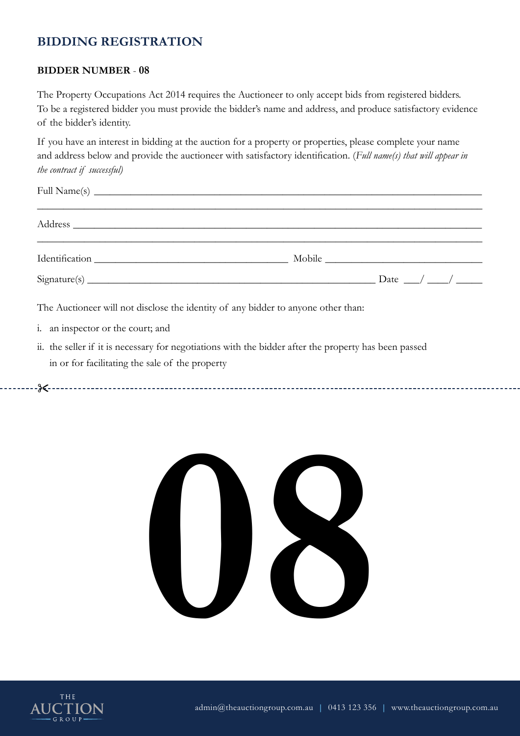### **BIDDER NUMBER** - **08**

The Property Occupations Act 2014 requires the Auctioneer to only accept bids from registered bidders. To be a registered bidder you must provide the bidder's name and address, and produce satisfactory evidence of the bidder's identity.

If you have an interest in bidding at the auction for a property or properties, please complete your name and address below and provide the auctioneer with satisfactory identification. (*Full name(s) that will appear in the contract if successful)*

| $Sigma(s)$ $Dataure(s)$ $Data__/$ $\_/$ $\_/$                                     |  |  |
|-----------------------------------------------------------------------------------|--|--|
| The Auctioneer will not disclose the identity of any bidder to anyone other than: |  |  |
| i. an inspector or the court; and                                                 |  |  |

ii. the seller if it is necessary for negotiations with the bidder after the property has been passed in or for facilitating the sale of the property



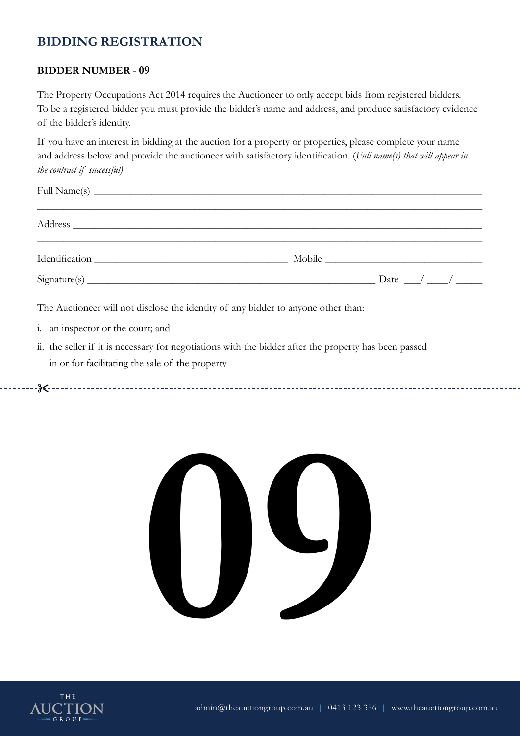### **BIDDER NUMBER** - **09**

The Property Occupations Act 2014 requires the Auctioneer to only accept bids from registered bidders. To be a registered bidder you must provide the bidder's name and address, and produce satisfactory evidence of the bidder's identity.

If you have an interest in bidding at the auction for a property or properties, please complete your name and address below and provide the auctioneer with satisfactory identification. (*Full name(s) that will appear in the contract if successful)*

|                                                                                                                                                                                                                                   | $Sigma(s)$ $Dataure(s)$ $Data__/$ $A__/$                                          |  |
|-----------------------------------------------------------------------------------------------------------------------------------------------------------------------------------------------------------------------------------|-----------------------------------------------------------------------------------|--|
| $\mathbf{r}$ , and the contract of the contract of the contract of the contract of the contract of the contract of the contract of the contract of the contract of the contract of the contract of the contract of the contract o | The Auctioneer will not disclose the identity of any bidder to anyone other than: |  |

- i. an inspector or the court; and
- ii. the seller if it is necessary for negotiations with the bidder after the property has been passed in or for facilitating the sale of the property



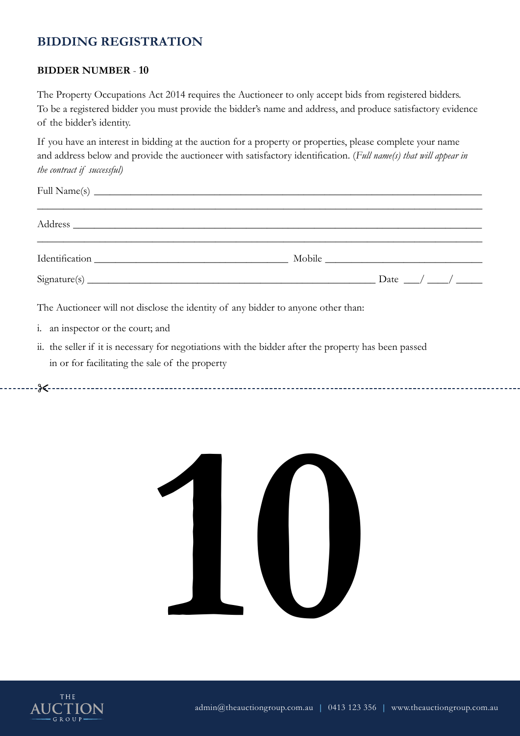### **BIDDER NUMBER** - **10**

The Property Occupations Act 2014 requires the Auctioneer to only accept bids from registered bidders. To be a registered bidder you must provide the bidder's name and address, and produce satisfactory evidence of the bidder's identity.

If you have an interest in bidding at the auction for a property or properties, please complete your name and address below and provide the auctioneer with satisfactory identification. (*Full name(s) that will appear in the contract if successful)*

| $Sigma(s)$ $Dataure(s)$ $Data__$                                                  |  |  |
|-----------------------------------------------------------------------------------|--|--|
| The Auctioneer will not disclose the identity of any bidder to anyone other than: |  |  |

- i. an inspector or the court; and
- ii. the seller if it is necessary for negotiations with the bidder after the property has been passed in or for facilitating the sale of the property



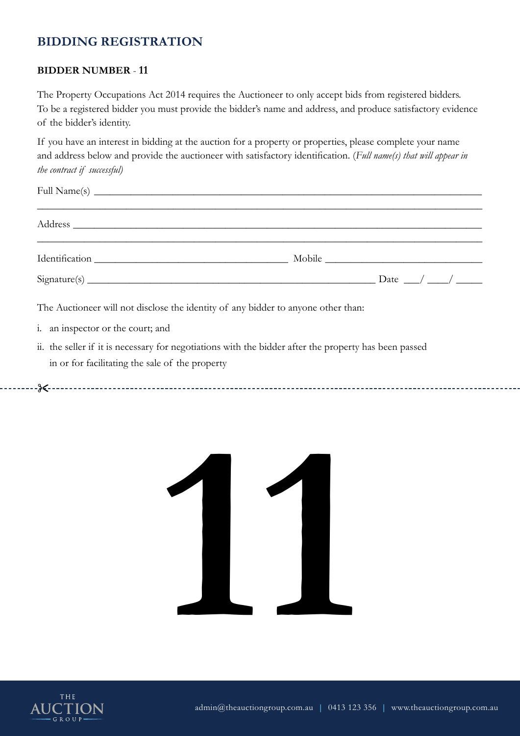### **BIDDER NUMBER** - **11**

The Property Occupations Act 2014 requires the Auctioneer to only accept bids from registered bidders. To be a registered bidder you must provide the bidder's name and address, and produce satisfactory evidence of the bidder's identity.

If you have an interest in bidding at the auction for a property or properties, please complete your name and address below and provide the auctioneer with satisfactory identification. (*Full name(s) that will appear in the contract if successful)*

| $Sigma(s)$ $Dataure(s)$ $Data__$                                                  |  |
|-----------------------------------------------------------------------------------|--|
| The Auctioneer will not disclose the identity of any bidder to anyone other than: |  |

i. an inspector or the court; and

&



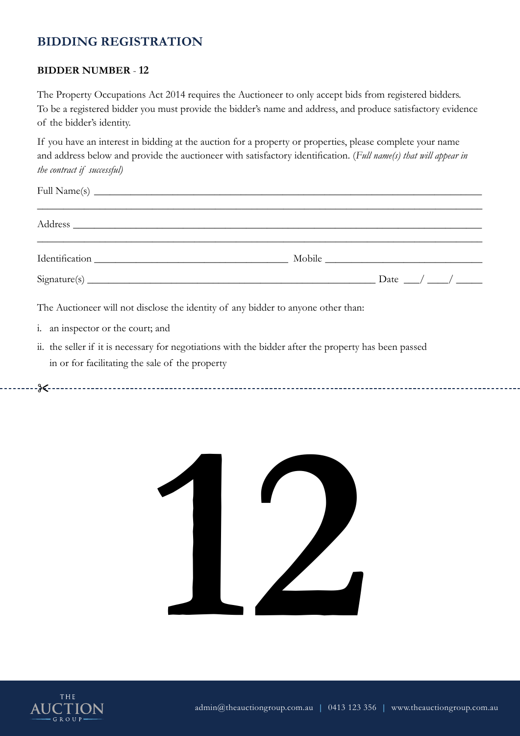### **BIDDER NUMBER** - **12**

The Property Occupations Act 2014 requires the Auctioneer to only accept bids from registered bidders. To be a registered bidder you must provide the bidder's name and address, and produce satisfactory evidence of the bidder's identity.

If you have an interest in bidding at the auction for a property or properties, please complete your name and address below and provide the auctioneer with satisfactory identification. (*Full name(s) that will appear in the contract if successful)*

| $Sigma(s)$ $Dataure(s)$ $Data__$                                                  |  |
|-----------------------------------------------------------------------------------|--|
| The Auctioneer will not disclose the identity of any bidder to anyone other than: |  |

- i. an inspector or the court; and
- ii. the seller if it is necessary for negotiations with the bidder after the property has been passed in or for facilitating the sale of the property



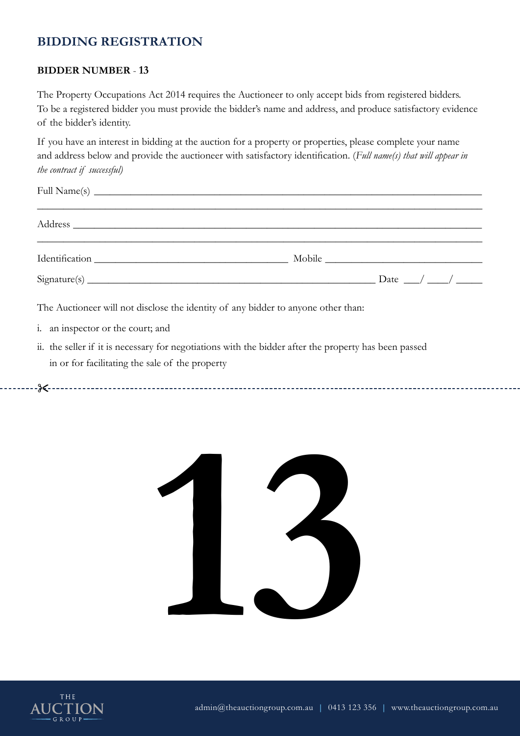### **BIDDER NUMBER** - **13**

The Property Occupations Act 2014 requires the Auctioneer to only accept bids from registered bidders. To be a registered bidder you must provide the bidder's name and address, and produce satisfactory evidence of the bidder's identity.

If you have an interest in bidding at the auction for a property or properties, please complete your name and address below and provide the auctioneer with satisfactory identification. (*Full name(s) that will appear in the contract if successful)*

| $Signature(s)$ $Date$ $\rightarrow$                                               |  |
|-----------------------------------------------------------------------------------|--|
| The Auctioneer will not disclose the identity of any bidder to anyone other than: |  |

i. an inspector or the court; and

&



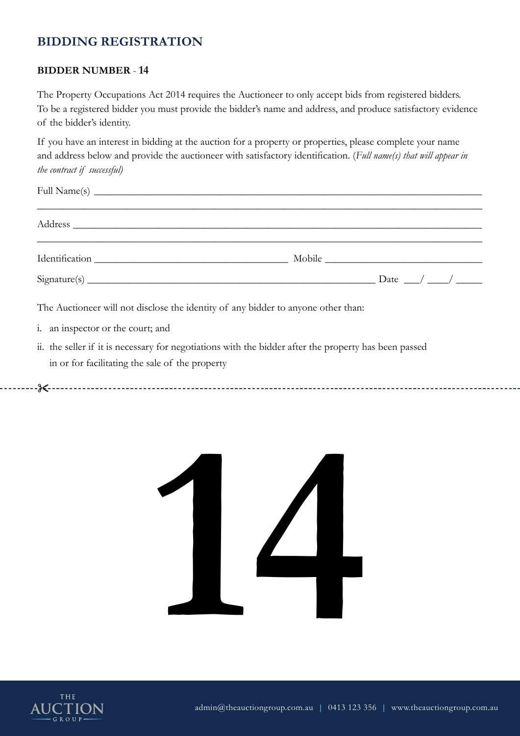### **BIDDER NUMBER** - **14**

The Property Occupations Act 2014 requires the Auctioneer to only accept bids from registered bidders. To be a registered bidder you must provide the bidder's name and address, and produce satisfactory evidence of the bidder's identity.

If you have an interest in bidding at the auction for a property or properties, please complete your name and address below and provide the auctioneer with satisfactory identification. (*Full name(s) that will appear in the contract if successful)*

| The Auctioneer will not disclose the identity of any bidder to anyone other than: |  |  |
|-----------------------------------------------------------------------------------|--|--|

- i. an inspector or the court; and
- ii. the seller if it is necessary for negotiations with the bidder after the property has been passed in or for facilitating the sale of the property



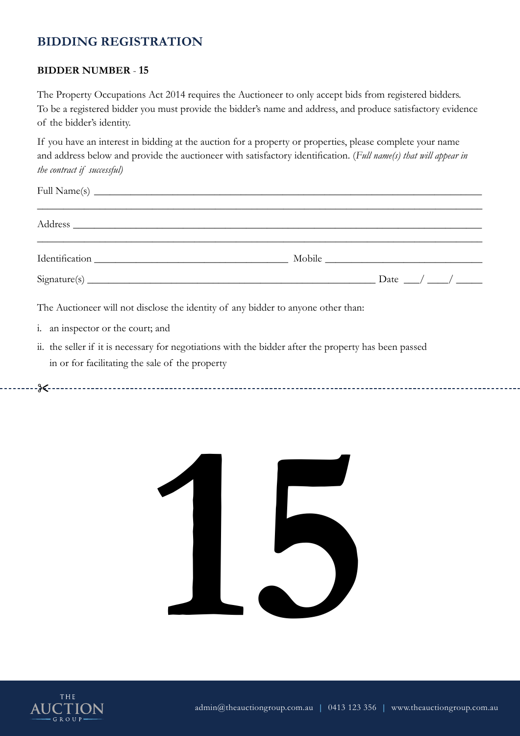### **BIDDER NUMBER** - **15**

The Property Occupations Act 2014 requires the Auctioneer to only accept bids from registered bidders. To be a registered bidder you must provide the bidder's name and address, and produce satisfactory evidence of the bidder's identity.

If you have an interest in bidding at the auction for a property or properties, please complete your name and address below and provide the auctioneer with satisfactory identification. (*Full name(s) that will appear in the contract if successful)*

| $Signature(s)$ $Date$ $\rightarrow$                                               |  |
|-----------------------------------------------------------------------------------|--|
| The Auctioneer will not disclose the identity of any bidder to anyone other than: |  |

i. an inspector or the court; and

&



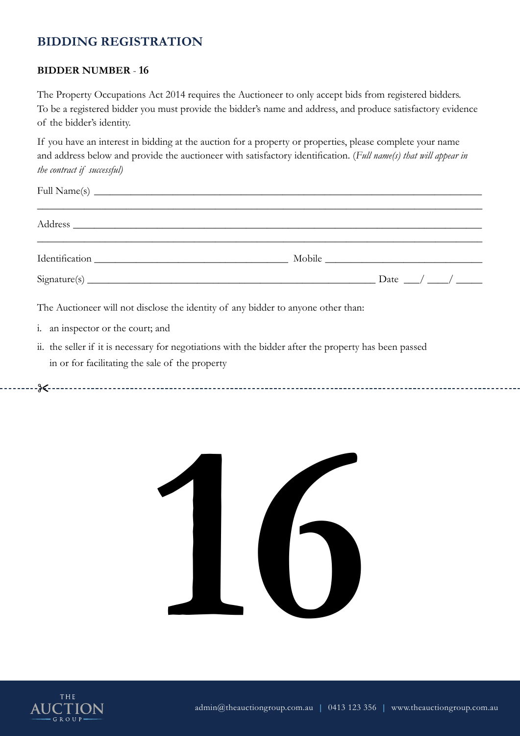### **BIDDER NUMBER** - **16**

The Property Occupations Act 2014 requires the Auctioneer to only accept bids from registered bidders. To be a registered bidder you must provide the bidder's name and address, and produce satisfactory evidence of the bidder's identity.

If you have an interest in bidding at the auction for a property or properties, please complete your name and address below and provide the auctioneer with satisfactory identification. (*Full name(s) that will appear in the contract if successful)*

| Address and the contract of the contract of the contract of the contract of the contract of the contract of the contract of the contract of the contract of the contract of the contract of the contract of the contract of th |                                     |
|--------------------------------------------------------------------------------------------------------------------------------------------------------------------------------------------------------------------------------|-------------------------------------|
|                                                                                                                                                                                                                                |                                     |
|                                                                                                                                                                                                                                | $Signature(s)$ $Date$ $\rightarrow$ |
| The Auctioneer will not disclose the identity of any bidder to anyone other than:                                                                                                                                              |                                     |

i. an inspector or the court; and

&



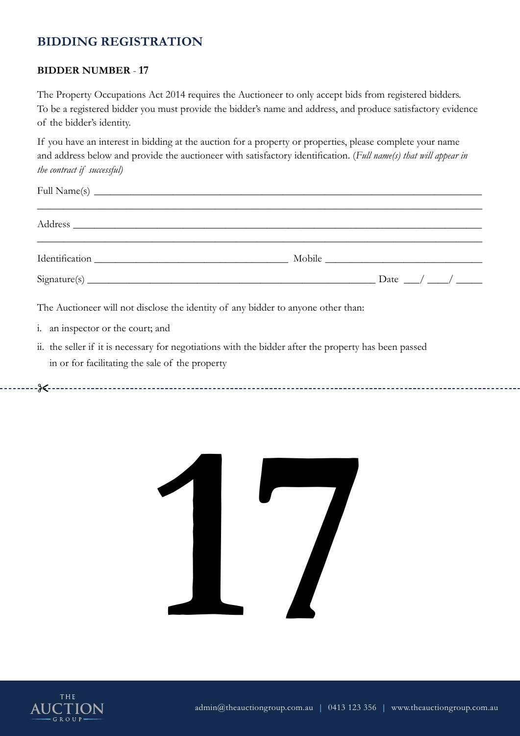### **BIDDER NUMBER** - **17**

The Property Occupations Act 2014 requires the Auctioneer to only accept bids from registered bidders. To be a registered bidder you must provide the bidder's name and address, and produce satisfactory evidence of the bidder's identity.

If you have an interest in bidding at the auction for a property or properties, please complete your name and address below and provide the auctioneer with satisfactory identification. (*Full name(s) that will appear in the contract if successful)*

| $Signature(s)$ $Date$ $\rightarrow$                                               |  |
|-----------------------------------------------------------------------------------|--|
| The Auctioneer will not disclose the identity of any bidder to anyone other than: |  |

- i. an inspector or the court; and
- ii. the seller if it is necessary for negotiations with the bidder after the property has been passed in or for facilitating the sale of the property



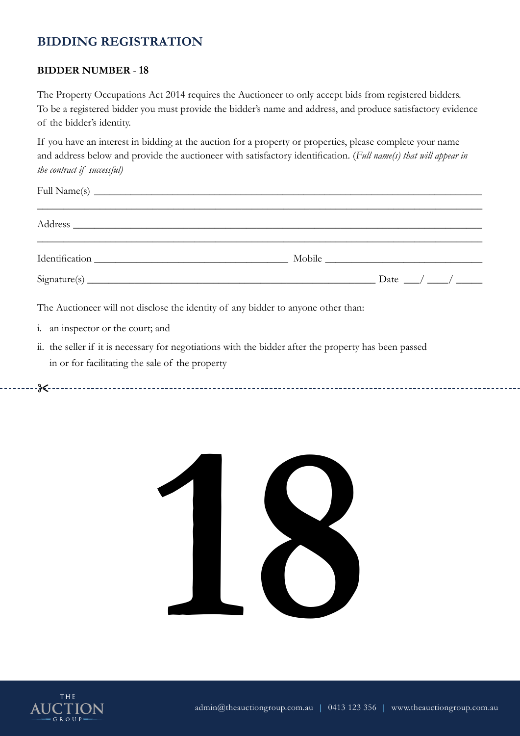### **BIDDER NUMBER** - **18**

The Property Occupations Act 2014 requires the Auctioneer to only accept bids from registered bidders. To be a registered bidder you must provide the bidder's name and address, and produce satisfactory evidence of the bidder's identity.

If you have an interest in bidding at the auction for a property or properties, please complete your name and address below and provide the auctioneer with satisfactory identification. (*Full name(s) that will appear in the contract if successful)*

| $Sigma(s)$ $Dataure(s)$ $Data__$                                                  |  |  |
|-----------------------------------------------------------------------------------|--|--|
| The Auctioneer will not disclose the identity of any bidder to anyone other than: |  |  |

i. an inspector or the court; and

&



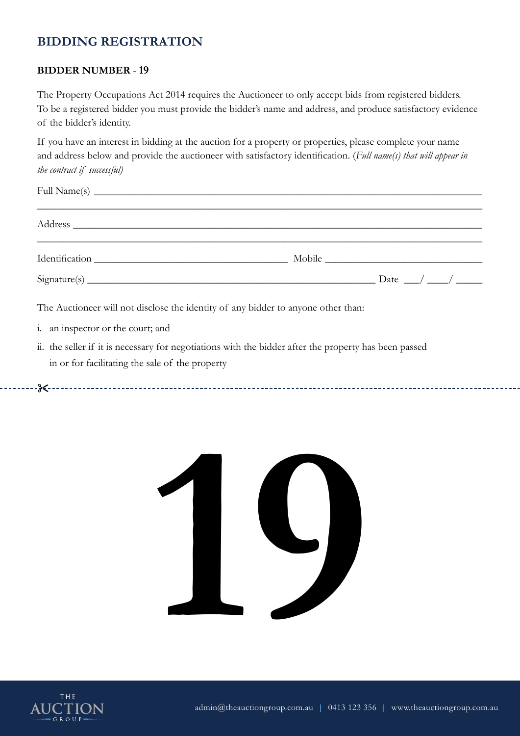### **BIDDER NUMBER** - **19**

The Property Occupations Act 2014 requires the Auctioneer to only accept bids from registered bidders. To be a registered bidder you must provide the bidder's name and address, and produce satisfactory evidence of the bidder's identity.

If you have an interest in bidding at the auction for a property or properties, please complete your name and address below and provide the auctioneer with satisfactory identification. (*Full name(s) that will appear in the contract if successful)*

| $Sigma(s)$ $Dataure(s)$ $Data__/$ $A__/$                                          |  |
|-----------------------------------------------------------------------------------|--|
| The Auctioneer will not disclose the identity of any bidder to anyone other than: |  |

- i. an inspector or the court; and
- ii. the seller if it is necessary for negotiations with the bidder after the property has been passed in or for facilitating the sale of the property